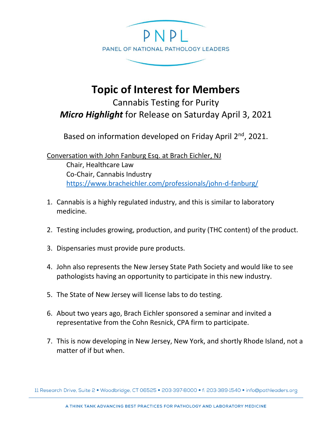

## **Topic of Interest for Members**

Cannabis Testing for Purity *Micro Highlight* for Release on Saturday April 3, 2021

Based on information developed on Friday April 2<sup>nd</sup>, 2021.

Conversation with John Fanburg Esq. at Brach Eichler, NJ Chair, Healthcare Law Co-Chair, Cannabis Industry <https://www.bracheichler.com/professionals/john-d-fanburg/>

- 1. Cannabis is a highly regulated industry, and this is similar to laboratory medicine.
- 2. Testing includes growing, production, and purity (THC content) of the product.
- 3. Dispensaries must provide pure products.
- 4. John also represents the New Jersey State Path Society and would like to see pathologists having an opportunity to participate in this new industry.
- 5. The State of New Jersey will license labs to do testing.
- 6. About two years ago, Brach Eichler sponsored a seminar and invited a representative from the Cohn Resnick, CPA firm to participate.
- 7. This is now developing in New Jersey, New York, and shortly Rhode Island, not a matter of if but when.

11 Research Drive, Suite 2 · Woodbridge, CT 06525 · 203 397 8000 · f: 203 389 1540 · info@pathleaders.org